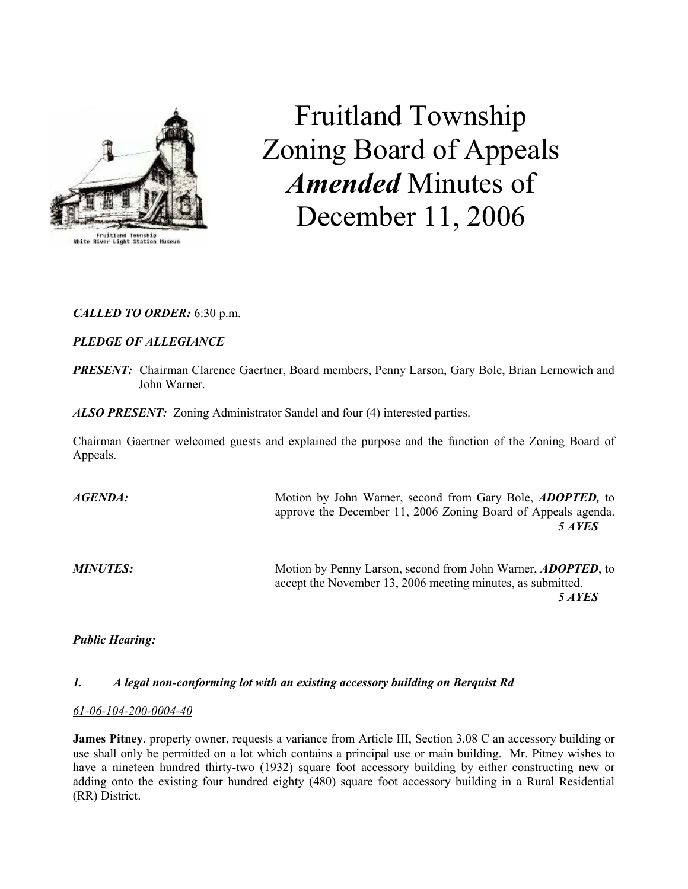

Fruitland Township Zoning Board of Appeals Amended Minutes of December 11, 2006

## CALLED TO ORDER: 6:30 p.m.

## PLEDGE OF ALLEGIANCE

**PRESENT:** Chairman Clarence Gaertner, Board members, Penny Larson, Gary Bole, Brian Lernowich and John Warner.

ALSO PRESENT: Zoning Administrator Sandel and four (4) interested parties.

Chairman Gaertner welcomed guests and explained the purpose and the function of the Zoning Board of Appeals.

AGENDA: Motion by John Warner, second from Gary Bole, ADOPTED, to approve the December 11, 2006 Zoning Board of Appeals agenda. 5 AYES MINUTES: Motion by Penny Larson, second from John Warner, ADOPTED, to accept the November 13, 2006 meeting minutes, as submitted.

5 AYES

# Public Hearing:

## 1. A legal non-conforming lot with an existing accessory building on Berquist Rd

## 61-06-104-200-0004-40

James Pitney, property owner, requests a variance from Article III, Section 3.08 C an accessory building or use shall only be permitted on a lot which contains a principal use or main building. Mr. Pitney wishes to have a nineteen hundred thirty-two (1932) square foot accessory building by either constructing new or adding onto the existing four hundred eighty (480) square foot accessory building in a Rural Residential (RR) District.